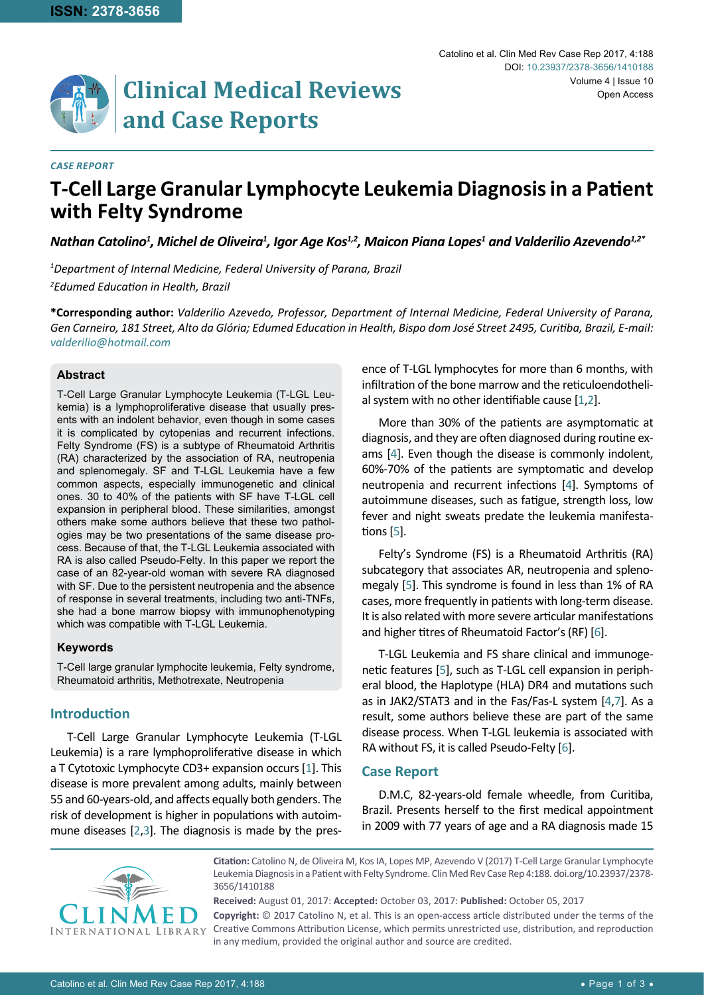# **Clinical Medical Reviews and Case Reports**

#### *CASE REPORT*

# **T-Cell Large Granular Lymphocyte Leukemia Diagnosis in a Patient with Felty Syndrome**

<code>Mathan</code> Catolino $^1$ , Michel de Oliveira $^1$ , Igor Age Kos $^{1,2}$ , Maicon Piana Lopes $^1$  and Valderilio Azevendo $^{1,2^*}$ 

*1 Department of Internal Medicine, Federal University of Parana, Brazil 2 Edumed Education in Health, Brazil*

**\*Corresponding author:** *Valderilio Azevedo, Professor, Department of Internal Medicine, Federal University of Parana, Gen Carneiro, 181 Street, Alto da Glória; Edumed Education in Health, Bispo dom José Street 2495, Curitiba, Brazil, E-mail: valderilio@hotmail.com*

# **Abstract**

T-Cell Large Granular Lymphocyte Leukemia (T-LGL Leukemia) is a lymphoproliferative disease that usually presents with an indolent behavior, even though in some cases it is complicated by cytopenias and recurrent infections. Felty Syndrome (FS) is a subtype of Rheumatoid Arthritis (RA) characterized by the association of RA, neutropenia and splenomegaly. SF and T-LGL Leukemia have a few common aspects, especially immunogenetic and clinical ones. 30 to 40% of the patients with SF have T-LGL cell expansion in peripheral blood. These similarities, amongst others make some authors believe that these two pathologies may be two presentations of the same disease process. Because of that, the T-LGL Leukemia associated with RA is also called Pseudo-Felty. In this paper we report the case of an 82-year-old woman with severe RA diagnosed with SF. Due to the persistent neutropenia and the absence of response in several treatments, including two anti-TNFs, she had a bone marrow biopsy with immunophenotyping which was compatible with T-LGL Leukemia.

# **Keywords**

T-Cell large granular lymphocite leukemia, Felty syndrome, Rheumatoid arthritis, Methotrexate, Neutropenia

# **Introduction**

T-Cell Large Granular Lymphocyte Leukemia (T-LGL Leukemia) is a rare lymphoproliferative disease in which a T Cytotoxic Lymphocyte CD3+ expansion occurs [[1](#page-2-0)]. This disease is more prevalent among adults, mainly between 55 and 60-years-old, and affects equally both genders. The risk of development is higher in populations with autoimmune diseases [[2,](#page-2-1)[3](#page-2-6)]. The diagnosis is made by the presence of T-LGL lymphocytes for more than 6 months, with infiltration of the bone marrow and the reticuloendothelial system with no other identifiable cause [[1](#page-2-0)[,2](#page-2-1)].

More than 30% of the patients are asymptomatic at diagnosis, and they are often diagnosed during routine exams [\[4\]](#page-2-2). Even though the disease is commonly indolent, 60%-70% of the patients are symptomatic and develop neutropenia and recurrent infections [\[4\]](#page-2-2). Symptoms of autoimmune diseases, such as fatigue, strength loss, low fever and night sweats predate the leukemia manifestations [[5](#page-2-3)].

Felty's Syndrome (FS) is a Rheumatoid Arthritis (RA) subcategory that associates AR, neutropenia and splenomegaly [\[5\]](#page-2-3). This syndrome is found in less than 1% of RA cases, more frequently in patients with long-term disease. It is also related with more severe articular manifestations and higher titres of Rheumatoid Factor's (RF) [[6](#page-2-4)].

T-LGL Leukemia and FS share clinical and immunogenetic features [[5](#page-2-3)], such as T-LGL cell expansion in peripheral blood, the Haplotype (HLA) DR4 and mutations such as in JAK2/STAT3 and in the Fas/Fas-L system [[4](#page-2-2),[7](#page-2-5)]. As a result, some authors believe these are part of the same disease process. When T-LGL leukemia is associated with RA without FS, it is called Pseudo-Felty [\[6](#page-2-4)].

# **Case Report**

D.M.C, 82-years-old female wheedle, from Curitiba, Brazil. Presents herself to the first medical appointment in 2009 with 77 years of age and a RA diagnosis made 15



**Citation:** Catolino N, de Oliveira M, Kos IA, Lopes MP, Azevendo V (2017) T-Cell Large Granular Lymphocyte Leukemia Diagnosis in a Patient with Felty Syndrome. Clin Med Rev Case Rep 4:188. [doi.org/10.23937/2378-](https://doi.org/10.23937/2378-3656/1410188) [3656/14101](https://doi.org/10.23937/2378-3656/1410188)88

**Received:** August 01, 2017: **Accepted:** October 03, 2017: **Published:** October 05, 2017 **Copyright:** © 2017 Catolino N, et al. This is an open-access article distributed under the terms of the Creative Commons Attribution License, which permits unrestricted use, distribution, and reproduction in any medium, provided the original author and source are credited.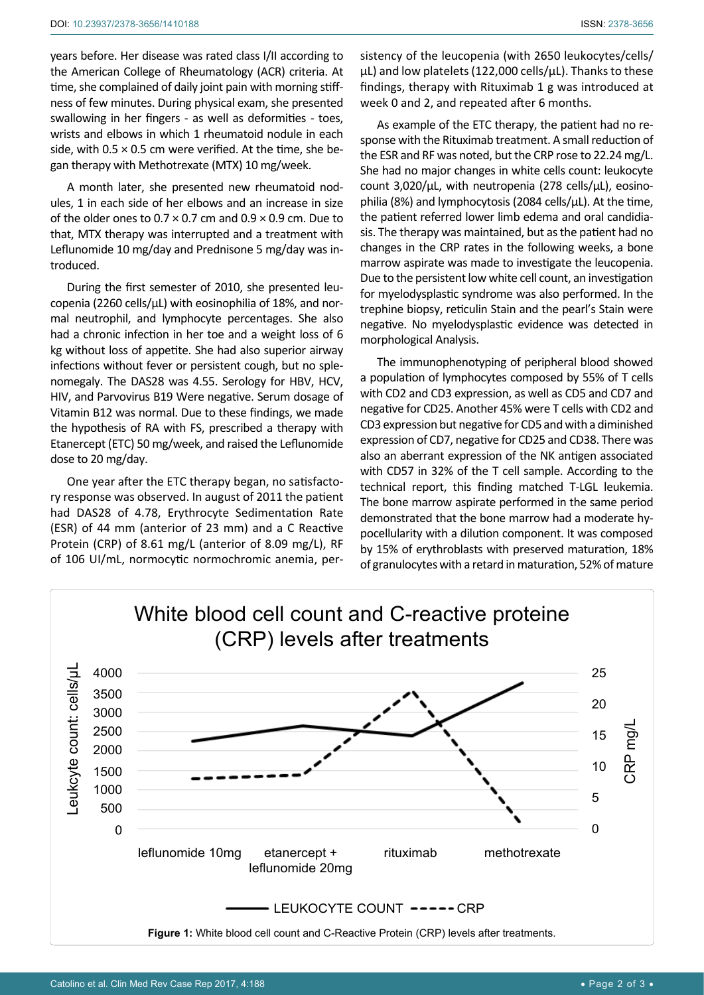years before. Her disease was rated class I/II according to the American College of Rheumatology (ACR) criteria. At time, she complained of daily joint pain with morning stiff-

ness of few minutes. During physical exam, she presented swallowing in her fingers - as well as deformities - toes, wrists and elbows in which 1 rheumatoid nodule in each side, with  $0.5 \times 0.5$  cm were verified. At the time, she began therapy with Methotrexate (MTX) 10 mg/week.

A month later, she presented new rheumatoid nodules, 1 in each side of her elbows and an increase in size of the older ones to  $0.7 \times 0.7$  cm and  $0.9 \times 0.9$  cm. Due to that, MTX therapy was interrupted and a treatment with Leflunomide 10 mg/day and Prednisone 5 mg/day was introduced.

During the first semester of 2010, she presented leucopenia (2260 cells/ $\mu$ L) with eosinophilia of 18%, and normal neutrophil, and lymphocyte percentages. She also had a chronic infection in her toe and a weight loss of 6 kg without loss of appetite. She had also superior airway infections without fever or persistent cough, but no splenomegaly. The DAS28 was 4.55. Serology for HBV, HCV, HIV, and Parvovirus B19 Were negative. Serum dosage of Vitamin B12 was normal. Due to these findings, we made the hypothesis of RA with FS, prescribed a therapy with Etanercept (ETC) 50 mg/week, and raised the Leflunomide dose to 20 mg/day.

One year after the ETC therapy began, no satisfactory response was observed. In august of 2011 the patient had DAS28 of 4.78, Erythrocyte Sedimentation Rate (ESR) of 44 mm (anterior of 23 mm) and a C Reactive Protein (CRP) of 8.61 mg/L (anterior of 8.09 mg/L), RF of 106 UI/mL, normocytic normochromic anemia, persistency of the leucopenia (with 2650 leukocytes/cells/ μL) and low platelets (122,000 cells/µL). Thanks to these findings, therapy with Rituximab 1 g was introduced at week 0 and 2, and repeated after 6 months.

As example of the ETC therapy, the patient had no response with the Rituximab treatment. A small reduction of the ESR and RF was noted, but the CRP rose to 22.24 mg/L. She had no major changes in white cells count: leukocyte count 3,020/µL, with neutropenia (278 cells/µL), eosinophilia (8%) and lymphocytosis (2084 cells/µL). At the time, the patient referred lower limb edema and oral candidiasis. The therapy was maintained, but as the patient had no changes in the CRP rates in the following weeks, a bone marrow aspirate was made to investigate the leucopenia. Due to the persistent low white cell count, an investigation for myelodysplastic syndrome was also performed. In the trephine biopsy, reticulin Stain and the pearl's Stain were negative. No myelodysplastic evidence was detected in morphological Analysis.

The immunophenotyping of peripheral blood showed a population of lymphocytes composed by 55% of T cells with CD2 and CD3 expression, as well as CD5 and CD7 and negative for CD25. Another 45% were T cells with CD2 and CD3 expression but negative for CD5 and with a diminished expression of CD7, negative for CD25 and CD38. There was also an aberrant expression of the NK antigen associated with CD57 in 32% of the T cell sample. According to the technical report, this finding matched T-LGL leukemia. The bone marrow aspirate performed in the same period demonstrated that the bone marrow had a moderate hypocellularity with a dilution component. It was composed by 15% of erythroblasts with preserved maturation, 18% of granulocytes with a retard in maturation, 52% of mature

<span id="page-1-0"></span>